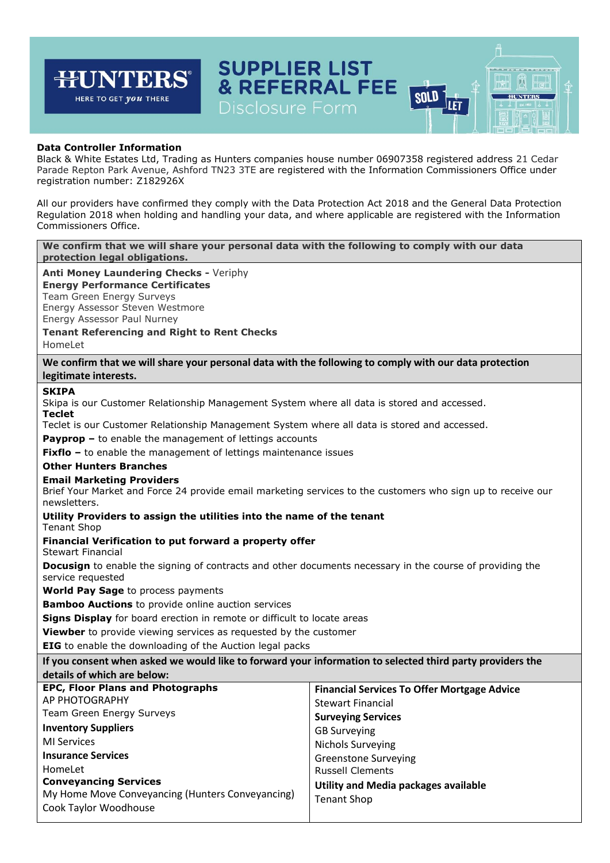#### **SUPPLIER LIST** न्म **JNTERS** 闶 **& REFERRAL FEE**  $\mathbb{H}$ **SOLD** HERE TO GET *you* THERE **HUNTERS** JLET

# **Data Controller Information**

Black & White Estates Ltd, Trading as Hunters companies house number 06907358 registered address 21 Cedar Parade Repton Park Avenue, Ashford TN23 3TE are registered with the Information Commissioners Office under registration number: Z182926X

All our providers have confirmed they comply with the Data Protection Act 2018 and the General Data Protection Regulation 2018 when holding and handling your data, and where applicable are registered with the Information Commissioners Office.

**We confirm that we will share your personal data with the following to comply with our data protection legal obligations.**

#### **Anti Money Laundering Checks -** Veriphy

**Energy Performance Certificates** Team Green Energy Surveys Energy Assessor Steven Westmore

Energy Assessor Paul Nurney

# **Tenant Referencing and Right to Rent Checks**

HomeLet

**We confirm that we will share your personal data with the following to comply with our data protection legitimate interests.**

### **SKIPA**

Skipa is our Customer Relationship Management System where all data is stored and accessed. **Teclet**

Teclet is our Customer Relationship Management System where all data is stored and accessed.

**Payprop –** to enable the management of lettings accounts

**Fixflo** - to enable the management of lettings maintenance issues

# **Other Hunters Branches**

### **Email Marketing Providers**

Brief Your Market and Force 24 provide email marketing services to the customers who sign up to receive our newsletters.

### **Utility Providers to assign the utilities into the name of the tenant**

Tenant Shop

### **Financial Verification to put forward a property offer**

Stewart Financial

**Docusign** to enable the signing of contracts and other documents necessary in the course of providing the service requested

**World Pay Sage** to process payments

**Bamboo Auctions** to provide online auction services

**Signs Display** for board erection in remote or difficult to locate areas

**Viewber** to provide viewing services as requested by the customer

**EIG** to enable the downloading of the Auction legal packs

| If you consent when asked we would like to forward your information to selected third party providers the |
|-----------------------------------------------------------------------------------------------------------|
| details of which are below:                                                                               |

| <b>EPC, Floor Plans and Photographs</b>          | <b>Financial Services To Offer Mortgage Advice</b> |
|--------------------------------------------------|----------------------------------------------------|
| AP PHOTOGRAPHY                                   | <b>Stewart Financial</b>                           |
| Team Green Energy Surveys                        | <b>Surveying Services</b>                          |
| <b>Inventory Suppliers</b>                       | <b>GB Surveying</b>                                |
| MI Services                                      | <b>Nichols Surveying</b>                           |
| <b>Insurance Services</b>                        | <b>Greenstone Surveying</b>                        |
| HomeLet                                          | <b>Russell Clements</b>                            |
| <b>Conveyancing Services</b>                     | Utility and Media packages available               |
| My Home Move Conveyancing (Hunters Conveyancing) | Tenant Shop                                        |
| Cook Taylor Woodhouse                            |                                                    |
|                                                  |                                                    |